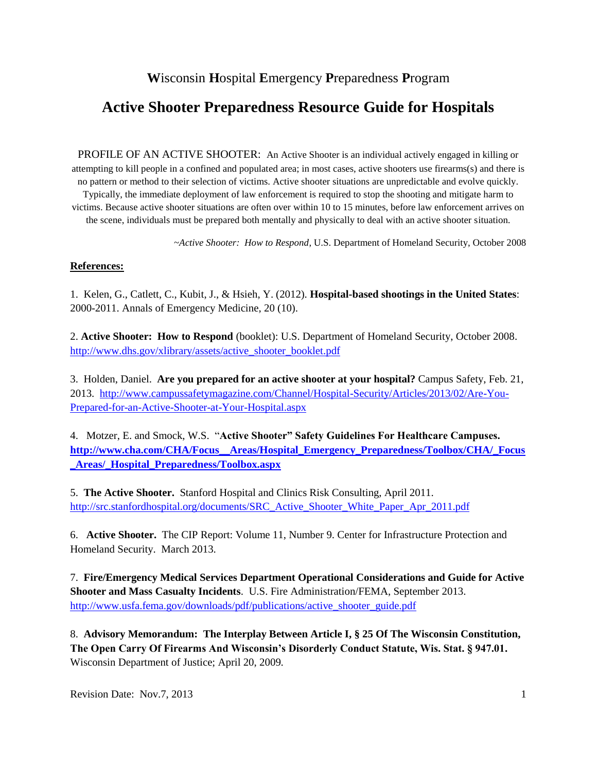## **W**isconsin **H**ospital **E**mergency **P**reparedness **P**rogram

# **Active Shooter Preparedness Resource Guide for Hospitals**

PROFILE OF AN ACTIVE SHOOTER: An Active Shooter is an individual actively engaged in killing or attempting to kill people in a confined and populated area; in most cases, active shooters use firearms(s) and there is no pattern or method to their selection of victims. Active shooter situations are unpredictable and evolve quickly. Typically, the immediate deployment of law enforcement is required to stop the shooting and mitigate harm to victims. Because active shooter situations are often over within 10 to 15 minutes, before law enforcement arrives on the scene, individuals must be prepared both mentally and physically to deal with an active shooter situation.

*~Active Shooter: How to Respond*, U.S. Department of Homeland Security, October 2008

#### **References:**

1. Kelen, G., Catlett, C., Kubit, J., & Hsieh, Y. (2012). **Hospital-based shootings in the United States**: 2000-2011. Annals of Emergency Medicine, 20 (10).

2. **Active Shooter: How to Respond** (booklet): U.S. Department of Homeland Security, October 2008. [http://www.dhs.gov/xlibrary/assets/active\\_shooter\\_booklet.pdf](http://www.dhs.gov/xlibrary/assets/active_shooter_booklet.pdf)

3. Holden, Daniel. **Are you prepared for an active shooter at your hospital?** Campus Safety, Feb. 21, 2013. [http://www.campussafetymagazine.com/Channel/Hospital-Security/Articles/2013/02/Are-You-](http://www.campussafetymagazine.com/Channel/Hospital-Security/Articles/2013/02/Are-You-Prepared-for-an-Active-Shooter-at-Your-Hospital.aspx)[Prepared-for-an-Active-Shooter-at-Your-Hospital.aspx](http://www.campussafetymagazine.com/Channel/Hospital-Security/Articles/2013/02/Are-You-Prepared-for-an-Active-Shooter-at-Your-Hospital.aspx)

4. Motzer, E. and Smock, W.S. "**Active Shooter" Safety Guidelines For Healthcare Campuses. [http://www.cha.com/CHA/Focus\\_\\_Areas/Hospital\\_Emergency\\_Preparedness/Toolbox/CHA/\\_Focus](http://www.cha.com/CHA/Focus__Areas/Hospital_Emergency_Preparedness/Toolbox/CHA/_Focus_Areas/_Hospital_Preparedness/Toolbox.aspx) [\\_Areas/\\_Hospital\\_Preparedness/Toolbox.aspx](http://www.cha.com/CHA/Focus__Areas/Hospital_Emergency_Preparedness/Toolbox/CHA/_Focus_Areas/_Hospital_Preparedness/Toolbox.aspx)**

5. **The Active Shooter.** Stanford Hospital and Clinics Risk Consulting, April 2011. [http://src.stanfordhospital.org/documents/SRC\\_Active\\_Shooter\\_White\\_Paper\\_Apr\\_2011.pdf](http://src.stanfordhospital.org/documents/SRC_Active_Shooter_White_Paper_Apr_2011.pdf)

6. **Active Shooter.** The CIP Report: Volume 11, Number 9. Center for Infrastructure Protection and Homeland Security. March 2013.

7. **Fire/Emergency Medical Services Department Operational Considerations and Guide for Active Shooter and Mass Casualty Incidents**. U.S. Fire Administration/FEMA, September 2013. [http://www.usfa.fema.gov/downloads/pdf/publications/active\\_shooter\\_guide.pdf](http://www.usfa.fema.gov/downloads/pdf/publications/active_shooter_guide.pdf)

8. **Advisory Memorandum: The Interplay Between Article I, § 25 Of The Wisconsin Constitution, The Open Carry Of Firearms And Wisconsin's Disorderly Conduct Statute, Wis. Stat. § 947.01.**  Wisconsin Department of Justice; April 20, 2009.

Revision Date: Nov.7, 2013 1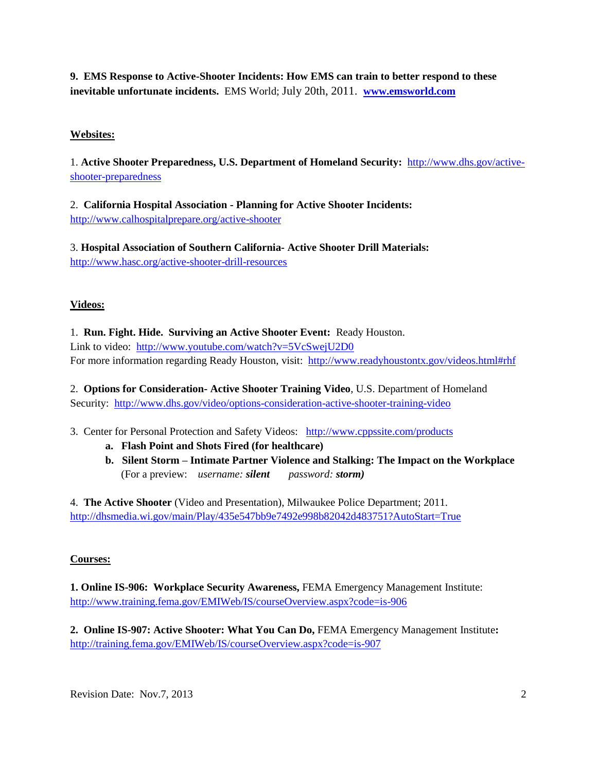**9. EMS Response to Active-Shooter Incidents: How EMS can train to better respond to these inevitable unfortunate incidents.** EMS World; July 20th, 2011. **[www.emsworld.com](http://www.emsworld.com/)**

### **Websites:**

1. **Active Shooter Preparedness, U.S. Department of Homeland Security:** [http://www.dhs.gov/active](http://www.dhs.gov/active-shooter-preparedness)[shooter-preparedness](http://www.dhs.gov/active-shooter-preparedness)

2. **California Hospital Association - Planning for Active Shooter Incidents:**  <http://www.calhospitalprepare.org/active-shooter>

3. **Hospital Association of Southern California- Active Shooter Drill Materials:** <http://www.hasc.org/active-shooter-drill-resources>

#### **Videos:**

1. **Run. Fight. Hide. Surviving an Active Shooter Event:** Ready Houston. Link to video: <http://www.youtube.com/watch?v=5VcSwejU2D0> For more information regarding Ready Houston, visit: <http://www.readyhoustontx.gov/videos.html#rhf>

2. **Options for Consideration- Active Shooter Training Video**, U.S. Department of Homeland Security: <http://www.dhs.gov/video/options-consideration-active-shooter-training-video>

- 3. Center for Personal Protection and Safety Videos: <http://www.cppssite.com/products>
	- **a. Flash Point and Shots Fired (for healthcare)**
	- **b. Silent Storm – Intimate Partner Violence and Stalking: The Impact on the Workplace** (For a preview: *username: silent password: storm)*

4. **The Active Shooter** (Video and Presentation), Milwaukee Police Department; 2011. <http://dhsmedia.wi.gov/main/Play/435e547bb9e7492e998b82042d483751?AutoStart=True>

#### **Courses:**

**1. Online IS-906: Workplace Security Awareness,** FEMA Emergency Management Institute: <http://www.training.fema.gov/EMIWeb/IS/courseOverview.aspx?code=is-906>

**2. Online IS-907: Active Shooter: What You Can Do,** FEMA Emergency Management Institute**:** <http://training.fema.gov/EMIWeb/IS/courseOverview.aspx?code=is-907>